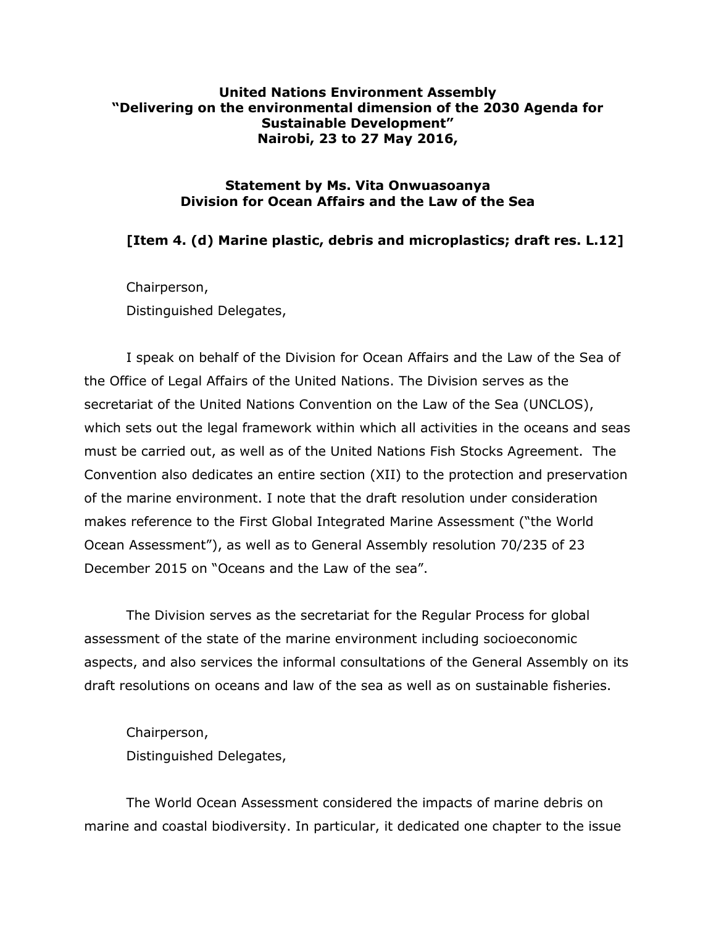## **United Nations Environment Assembly "Delivering on the environmental dimension of the 2030 Agenda for Sustainable Development" Nairobi, 23 to 27 May 2016,**

## **Statement by Ms. Vita Onwuasoanya Division for Ocean Affairs and the Law of the Sea**

## **[Item 4. (d) Marine plastic, debris and microplastics; draft res. L.12]**

Chairperson, Distinguished Delegates,

I speak on behalf of the Division for Ocean Affairs and the Law of the Sea of the Office of Legal Affairs of the United Nations. The Division serves as the secretariat of the United Nations Convention on the Law of the Sea (UNCLOS), which sets out the legal framework within which all activities in the oceans and seas must be carried out, as well as of the United Nations Fish Stocks Agreement. The Convention also dedicates an entire section (XII) to the protection and preservation of the marine environment. I note that the draft resolution under consideration makes reference to the First Global Integrated Marine Assessment ("the World Ocean Assessment"), as well as to General Assembly resolution 70/235 of 23 December 2015 on "Oceans and the Law of the sea".

The Division serves as the secretariat for the Regular Process for global assessment of the state of the marine environment including socioeconomic aspects, and also services the informal consultations of the General Assembly on its draft resolutions on oceans and law of the sea as well as on sustainable fisheries.

Chairperson, Distinguished Delegates,

The World Ocean Assessment considered the impacts of marine debris on marine and coastal biodiversity. In particular, it dedicated one chapter to the issue